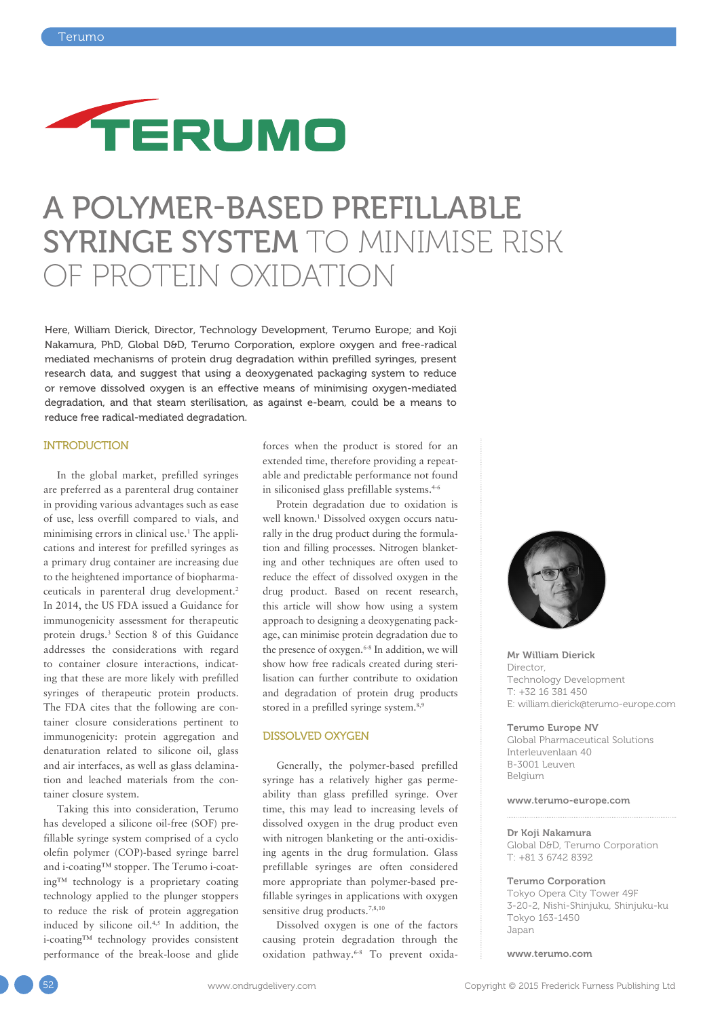

## A POLYMER-BASED PREFILLABLE SYRINGE SYSTEM TO MINIMISE RISK OF PROTEIN OXIDATION

Here, William Dierick, Director, Technology Development, Terumo Europe; and Koji Nakamura, PhD, Global D&D, Terumo Corporation, explore oxygen and free-radical mediated mechanisms of protein drug degradation within prefilled syringes, present research data, and suggest that using a deoxygenated packaging system to reduce or remove dissolved oxygen is an effective means of minimising oxygen-mediated degradation, and that steam sterilisation, as against e-beam, could be a means to reduce free radical-mediated degradation.

#### INTRODUCTION

In the global market, prefilled syringes are preferred as a parenteral drug container in providing various advantages such as ease of use, less overfill compared to vials, and minimising errors in clinical use.<sup>1</sup> The applications and interest for prefilled syringes as a primary drug container are increasing due to the heightened importance of biopharmaceuticals in parenteral drug development.<sup>2</sup> In 2014, the US FDA issued a Guidance for immunogenicity assessment for therapeutic protein drugs.3 Section 8 of this Guidance addresses the considerations with regard to container closure interactions, indicating that these are more likely with prefilled syringes of therapeutic protein products. The FDA cites that the following are container closure considerations pertinent to immunogenicity: protein aggregation and denaturation related to silicone oil, glass and air interfaces, as well as glass delamination and leached materials from the container closure system.

Taking this into consideration, Terumo has developed a silicone oil-free (SOF) prefillable syringe system comprised of a cyclo olefin polymer (COP)-based syringe barrel and i-coating™ stopper. The Terumo i-coating™ technology is a proprietary coating technology applied to the plunger stoppers to reduce the risk of protein aggregation induced by silicone oil.4,5 In addition, the i-coating™ technology provides consistent performance of the break-loose and glide

forces when the product is stored for an extended time, therefore providing a repeatable and predictable performance not found in siliconised glass prefillable systems.<sup>4-6</sup>

Protein degradation due to oxidation is well known.<sup>1</sup> Dissolved oxygen occurs naturally in the drug product during the formulation and filling processes. Nitrogen blanketing and other techniques are often used to reduce the effect of dissolved oxygen in the drug product. Based on recent research, this article will show how using a system approach to designing a deoxygenating package, can minimise protein degradation due to the presence of oxygen.6-8 In addition, we will show how free radicals created during sterilisation can further contribute to oxidation and degradation of protein drug products stored in a prefilled syringe system.<sup>8,9</sup>

#### DISSOLVED OXYGEN

Generally, the polymer-based prefilled syringe has a relatively higher gas permeability than glass prefilled syringe. Over time, this may lead to increasing levels of dissolved oxygen in the drug product even with nitrogen blanketing or the anti-oxidising agents in the drug formulation. Glass prefillable syringes are often considered more appropriate than polymer-based prefillable syringes in applications with oxygen sensitive drug products.<sup>7,8,10</sup>

Dissolved oxygen is one of the factors causing protein degradation through the oxidation pathway.6-8 To prevent oxida-



Mr William Dierick Director, Technology Development T: +32 16 381 450 E: william.dierick@terumo-europe.com

Terumo Europe NV Global Pharmaceutical Solutions Interleuvenlaan 40

B-3001 Leuven Belgium

#### www.terumo-europe.com

#### Dr Koji Nakamura

Global D&D, Terumo Corporation T: +81 3 6742 8392

#### Terumo Corporation

Tokyo Opera City Tower 49F 3-20-2, Nishi-Shinjuku, Shinjuku-ku Tokyo 163-1450 Japan

www.terumo.com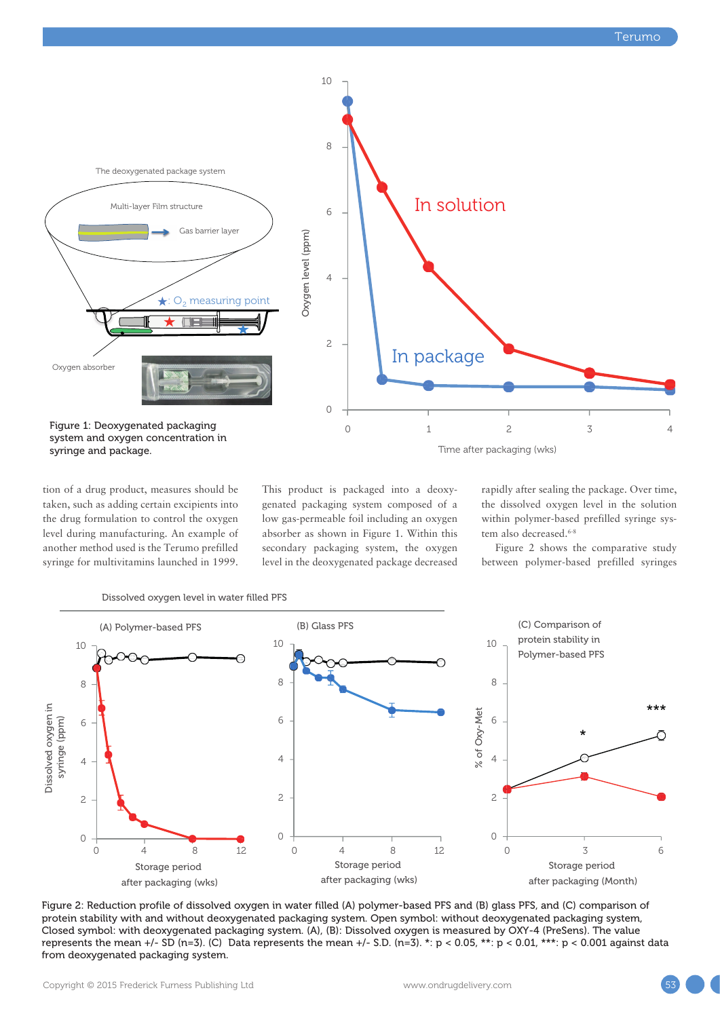

tion of a drug product, measures should be taken, such as adding certain excipients into the drug formulation to control the oxygen 8 level during manufacturing. An example of another method used is the Terumo prefilled syringe for multivitamins launched in 1999. Oxygen level (ppm)

This product is packaged into a deoxygenated packaging system composed of a low gas-permeable foil including an oxygen absorber as shown in Figure 1. Within this secondary packaging system, the oxygen level in the deoxygenated package decreased rapidly after sealing the package. Over time, the dissolved oxygen level in the solution within polymer-based prefilled syringe system also decreased.<sup>6-8</sup>

Figure 2 shows the comparative study between polymer-based prefilled syringes





Figure 2: Reduction profile of dissolved oxygen in water filled (A) polymer-based PFS and (B) glass PFS, and (C) comparison of protein stability with and without deoxygenated packaging system. Open symbol: without deoxygenated packaging system, Closed symbol: with deoxygenated packaging system. (A), (B): Dissolved oxygen is measured by OXY-4 (PreSens). The value represents the mean +/- SD (n=3). (C) Data represents the mean +/- S.D. (n=3). \*: p < 0.05, \*\*: p < 0.01, \*\*\*: p < 0.001 against data from deoxygenated packaging system.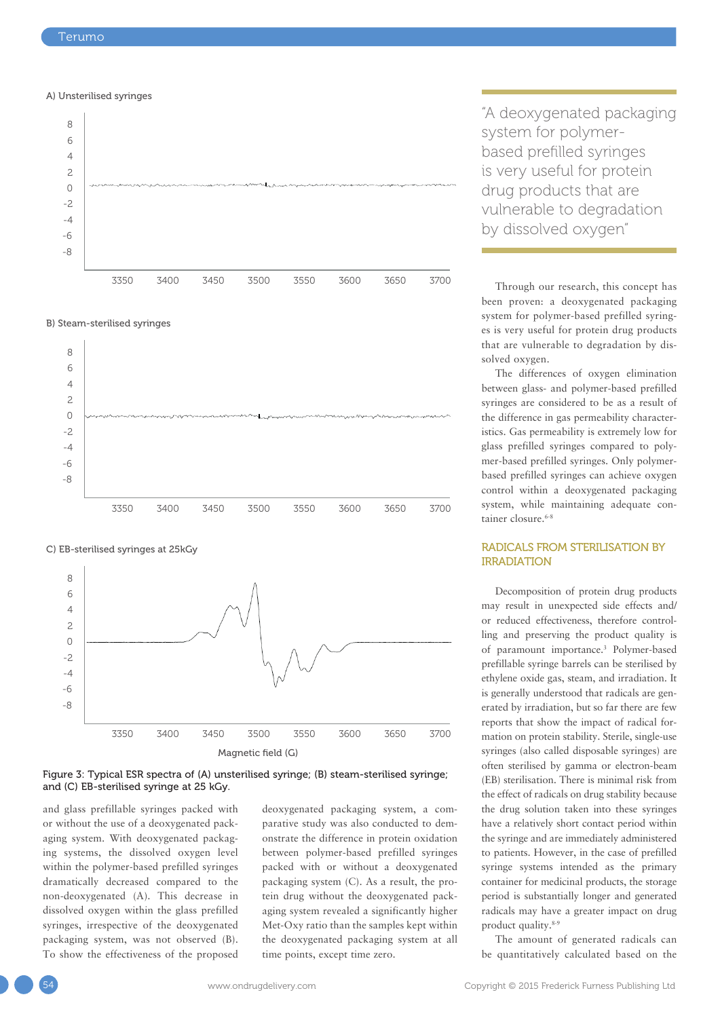#### A) Unsterilised syringes







#### C) EB-sterilised syringes at 25kGy





and glass prefillable syringes packed with or without the use of a deoxygenated packaging system. With deoxygenated packaging systems, the dissolved oxygen level within the polymer-based prefilled syringes dramatically decreased compared to the non-deoxygenated (A). This decrease in dissolved oxygen within the glass prefilled syringes, irrespective of the deoxygenated packaging system, was not observed (B). To show the effectiveness of the proposed deoxygenated packaging system, a comparative study was also conducted to demonstrate the difference in protein oxidation between polymer-based prefilled syringes packed with or without a deoxygenated packaging system (C). As a result, the protein drug without the deoxygenated packaging system revealed a significantly higher Met-Oxy ratio than the samples kept within the deoxygenated packaging system at all time points, except time zero.

"A deoxygenated packaging system for polymerbased prefilled syringes is very useful for protein drug products that are vulnerable to degradation by dissolved oxygen"

Through our research, this concept has been proven: a deoxygenated packaging system for polymer-based prefilled syringes is very useful for protein drug products that are vulnerable to degradation by dissolved oxygen.

The differences of oxygen elimination between glass- and polymer-based prefilled syringes are considered to be as a result of the difference in gas permeability characteristics. Gas permeability is extremely low for glass prefilled syringes compared to polymer-based prefilled syringes. Only polymerbased prefilled syringes can achieve oxygen control within a deoxygenated packaging system, while maintaining adequate container closure.<sup>6-8</sup>

#### RADICALS FROM STERILISATION BY IRRADIATION

Decomposition of protein drug products may result in unexpected side effects and/ or reduced effectiveness, therefore controlling and preserving the product quality is of paramount importance.3 Polymer-based prefillable syringe barrels can be sterilised by ethylene oxide gas, steam, and irradiation. It is generally understood that radicals are generated by irradiation, but so far there are few reports that show the impact of radical formation on protein stability. Sterile, single-use syringes (also called disposable syringes) are often sterilised by gamma or electron-beam (EB) sterilisation. There is minimal risk from the effect of radicals on drug stability because the drug solution taken into these syringes have a relatively short contact period within the syringe and are immediately administered to patients. However, in the case of prefilled syringe systems intended as the primary container for medicinal products, the storage period is substantially longer and generated radicals may have a greater impact on drug product quality.8-9

The amount of generated radicals can be quantitatively calculated based on the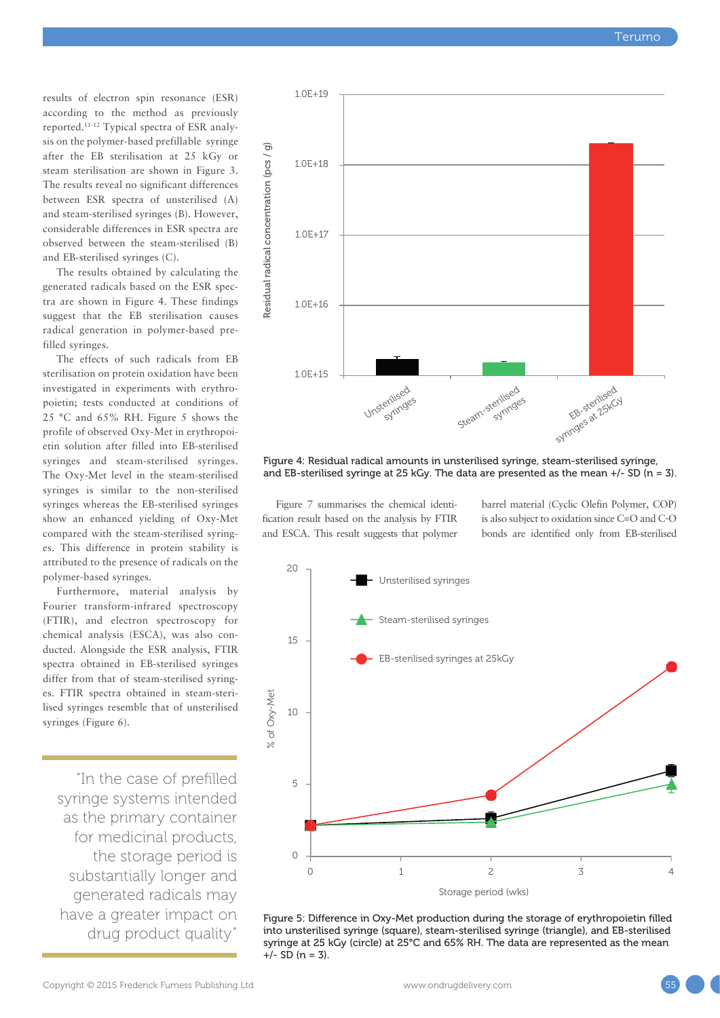results of electron spin resonance (ESR) according to the method as previously reported.11-12 Typical spectra of ESR analysis on the polymer-based prefillable syringe after the EB sterilisation at 25 kGy or steam sterilisation are shown in Figure 3. The results reveal no significant differences between ESR spectra of unsterilised (A) and steam-sterilised syringes (B). However, considerable differences in ESR spectra are observed between the steam-sterilised (B) and EB-sterilised syringes (C).

The results obtained by calculating the generated radicals based on the ESR spectra are shown in Figure 4. These findings suggest that the EB sterilisation causes radical generation in polymer-based prefilled syringes.

The effects of such radicals from EB sterilisation on protein oxidation have been investigated in experiments with erythropoietin; tests conducted at conditions of 25 °C and 65% RH. Figure 5 shows the profile of observed Oxy-Met in erythropoietin solution after filled into EB-sterilised syringes and steam-sterilised syringes. The Oxy-Met level in the steam-sterilised syringes is similar to the non-sterilised syringes whereas the EB-sterilised syringes show an enhanced yielding of Oxy-Met compared with the steam-sterilised syringes. This difference in protein stability is attributed to the presence of radicals on the polymer-based syringes.

Furthermore, material analysis by Fourier transform-infrared spectroscopy (FTIR), and electron spectroscopy for chemical analysis (ESCA), was also conducted. Alongside the ESR analysis, FTIR spectra obtained in EB-sterilised syringes differ from that of steam-sterilised syringes. FTIR spectra obtained in steam-sterilised syringes resemble that of unsterilised syringes (Figure 6).

"In the case of prefilled syringe systems intended as the primary container for medicinal products, the storage period is substantially longer and generated radicals may have a greater impact on drug product quality"



Figure 4: Residual radical amounts in unsterilised syringe, steam-sterilised syringe, and EB-sterilised syringe at 25 kGy. The data are presented as the mean  $+/-$  SD (n = 3).

Figure 7 summarises the chemical identification result based on the analysis by FTIR and ESCA. This result suggests that polymer barrel material (Cyclic Olefin Polymer, COP) is also subject to oxidation since C=O and C-O bonds are identified only from EB-sterilised



Figure 5: Difference in Oxy-Met production during the storage of erythropoietin filled into unsterilised syringe (square), steam-sterilised syringe (triangle), and EB-sterilised syringe at 25 kGy (circle) at 25°C and 65% RH. The data are represented as the mean +/- SD (n = 3).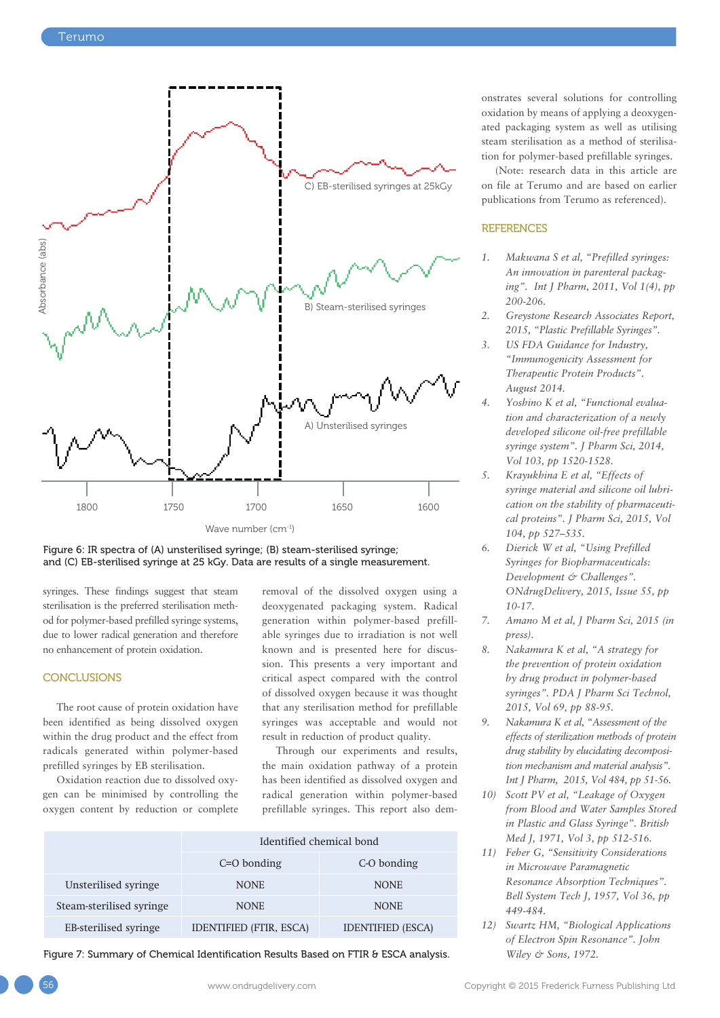



syringes. These findings suggest that steam sterilisation is the preferred sterilisation method for polymer-based prefilled syringe systems, due to lower radical generation and therefore no enhancement of protein oxidation.

#### **CONCLUSIONS**

The root cause of protein oxidation have been identified as being dissolved oxygen within the drug product and the effect from radicals generated within polymer-based prefilled syringes by EB sterilisation.

Oxidation reaction due to dissolved oxygen can be minimised by controlling the oxygen content by reduction or complete removal of the dissolved oxygen using a deoxygenated packaging system. Radical generation within polymer-based prefillable syringes due to irradiation is not well known and is presented here for discussion. This presents a very important and critical aspect compared with the control of dissolved oxygen because it was thought that any sterilisation method for prefillable syringes was acceptable and would not result in reduction of product quality.

Through our experiments and results, the main oxidation pathway of a protein has been identified as dissolved oxygen and radical generation within polymer-based prefillable syringes. This report also dem-

|                          | Identified chemical bond       |                          |
|--------------------------|--------------------------------|--------------------------|
|                          | $C=O$ bonding                  | C-O bonding              |
| Unsterilised syringe     | <b>NONE</b>                    | <b>NONE</b>              |
| Steam-sterilised syringe | <b>NONE</b>                    | <b>NONE</b>              |
| EB-sterilised syringe    | <b>IDENTIFIED (FTIR, ESCA)</b> | <b>IDENTIFIED (ESCA)</b> |

Figure 7: Summary of Chemical Identification Results Based on FTIR & ESCA analysis.

onstrates several solutions for controlling oxidation by means of applying a deoxygenated packaging system as well as utilising steam sterilisation as a method of sterilisation for polymer-based prefillable syringes.

(Note: research data in this article are on file at Terumo and are based on earlier publications from Terumo as referenced).

#### **REFERENCES**

- *1. Makwana S et al, "Prefilled syringes: An innovation in parenteral packaging". Int J Pharm, 2011, Vol 1(4), pp 200-206.*
- *2. Greystone Research Associates Report, 2015, "Plastic Prefillable Syringes".*
- *3. US FDA Guidance for Industry, "Immunogenicity Assessment for Therapeutic Protein Products". August 2014.*
- *4. Yoshino K et al, "Functional evaluation and characterization of a newly developed silicone oil-free prefillable syringe system". J Pharm Sci, 2014, Vol 103, pp 1520-1528.*
- *5. Krayukhina E et al, "Effects of syringe material and silicone oil lubrication on the stability of pharmaceutical proteins". J Pharm Sci, 2015, Vol 104, pp 527–535.*
- *6. Dierick W et al, "Using Prefilled Syringes for Biopharmaceuticals: Development & Challenges". ONdrugDelivery, 2015, Issue 55, pp 10-17.*
- *7. Amano M et al, J Pharm Sci, 2015 (in press).*
- *8. Nakamura K et al, "A strategy for the prevention of protein oxidation by drug product in polymer-based syringes". PDA J Pharm Sci Technol, 2015, Vol 69, pp 88-95.*
- *9. Nakamura K et al, "Assessment of the effects of sterilization methods of protein drug stability by elucidating decomposition mechanism and material analysis". Int J Pharm, 2015, Vol 484, pp 51-56.*
- *10) Scott PV et al, "Leakage of Oxygen from Blood and Water Samples Stored in Plastic and Glass Syringe". British Med J, 1971, Vol 3, pp 512-516.*
- *11) Feher G, "Sensitivity Considerations in Microwave Paramagnetic Resonance Absorption Techniques". Bell System Tech J, 1957, Vol 36, pp 449-484.*
- *12) Swartz HM, "Biological Applications of Electron Spin Resonance". John Wiley & Sons, 1972.*